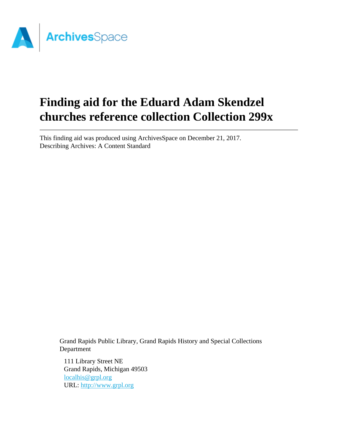

# **Finding aid for the Eduard Adam Skendzel churches reference collection Collection 299x**

This finding aid was produced using ArchivesSpace on December 21, 2017. Describing Archives: A Content Standard

Grand Rapids Public Library, Grand Rapids History and Special Collections Department

111 Library Street NE Grand Rapids, Michigan 49503 [localhis@grpl.org](mailto:localhis@grpl.org) URL:<http://www.grpl.org>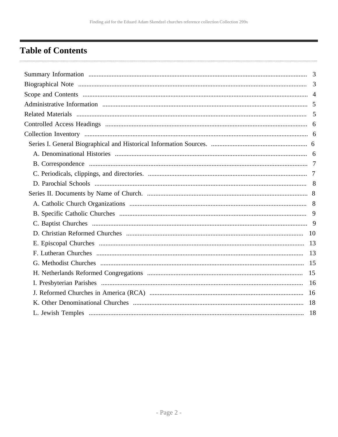# <span id="page-1-0"></span>**Table of Contents**

| 18 |
|----|
|    |
|    |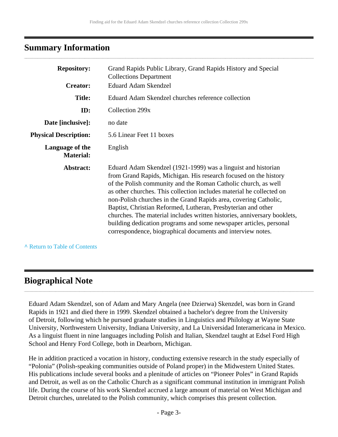#### <span id="page-2-0"></span>**Summary Information**

| <b>Repository:</b>                  | Grand Rapids Public Library, Grand Rapids History and Special<br><b>Collections Department</b>                                                                                                                                                                                                                                                                                                                                                                                                                                                                                                                                    |
|-------------------------------------|-----------------------------------------------------------------------------------------------------------------------------------------------------------------------------------------------------------------------------------------------------------------------------------------------------------------------------------------------------------------------------------------------------------------------------------------------------------------------------------------------------------------------------------------------------------------------------------------------------------------------------------|
| <b>Creator:</b>                     | <b>Eduard Adam Skendzel</b>                                                                                                                                                                                                                                                                                                                                                                                                                                                                                                                                                                                                       |
| <b>Title:</b>                       | Eduard Adam Skendzel churches reference collection                                                                                                                                                                                                                                                                                                                                                                                                                                                                                                                                                                                |
| ID:                                 | Collection 299x                                                                                                                                                                                                                                                                                                                                                                                                                                                                                                                                                                                                                   |
| Date [inclusive]:                   | no date                                                                                                                                                                                                                                                                                                                                                                                                                                                                                                                                                                                                                           |
| <b>Physical Description:</b>        | 5.6 Linear Feet 11 boxes                                                                                                                                                                                                                                                                                                                                                                                                                                                                                                                                                                                                          |
| Language of the<br><b>Material:</b> | English                                                                                                                                                                                                                                                                                                                                                                                                                                                                                                                                                                                                                           |
| Abstract:                           | Eduard Adam Skendzel (1921-1999) was a linguist and historian<br>from Grand Rapids, Michigan. His research focused on the history<br>of the Polish community and the Roman Catholic church, as well<br>as other churches. This collection includes material he collected on<br>non-Polish churches in the Grand Rapids area, covering Catholic,<br>Baptist, Christian Reformed, Lutheran, Presbyterian and other<br>churches. The material includes written histories, anniversary booklets,<br>building dedication programs and some newspaper articles, personal<br>correspondence, biographical documents and interview notes. |

**^** [Return to Table of Contents](#page-1-0)

#### <span id="page-2-1"></span>**Biographical Note**

Eduard Adam Skendzel, son of Adam and Mary Angela (nee Dzierwa) Skenzdel, was born in Grand Rapids in 1921 and died there in 1999. Skendzel obtained a bachelor's degree from the University of Detroit, following which he pursued graduate studies in Linguistics and Philology at Wayne State University, Northwestern University, Indiana University, and La Universidad Interamericana in Mexico. As a linguist fluent in nine languages including Polish and Italian, Skendzel taught at Edsel Ford High School and Henry Ford College, both in Dearborn, Michigan.

He in addition practiced a vocation in history, conducting extensive research in the study especially of "Polonia" (Polish-speaking communities outside of Poland proper) in the Midwestern United States. His publications include several books and a plenitude of articles on "Pioneer Poles" in Grand Rapids and Detroit, as well as on the Catholic Church as a significant communal institution in immigrant Polish life. During the course of his work Skendzel accrued a large amount of material on West Michigan and Detroit churches, unrelated to the Polish community, which comprises this present collection.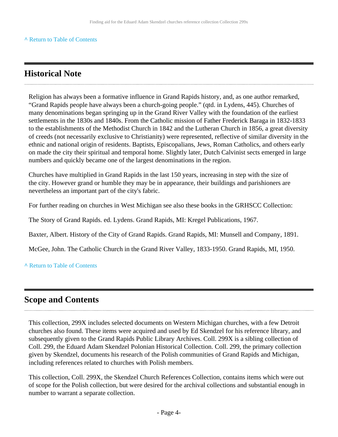#### **^** [Return to Table of Contents](#page-1-0)

### **Historical Note**

Religion has always been a formative influence in Grand Rapids history, and, as one author remarked, "Grand Rapids people have always been a church-going people." (qtd. in Lydens, 445). Churches of many denominations began springing up in the Grand River Valley with the foundation of the earliest settlements in the 1830s and 1840s. From the Catholic mission of Father Frederick Baraga in 1832-1833 to the establishments of the Methodist Church in 1842 and the Lutheran Church in 1856, a great diversity of creeds (not necessarily exclusive to Christianity) were represented, reflective of similar diversity in the ethnic and national origin of residents. Baptists, Episcopalians, Jews, Roman Catholics, and others early on made the city their spiritual and temporal home. Slightly later, Dutch Calvinist sects emerged in large numbers and quickly became one of the largest denominations in the region.

Churches have multiplied in Grand Rapids in the last 150 years, increasing in step with the size of the city. However grand or humble they may be in appearance, their buildings and parishioners are nevertheless an important part of the city's fabric.

For further reading on churches in West Michigan see also these books in the GRHSCC Collection:

The Story of Grand Rapids. ed. Lydens. Grand Rapids, MI: Kregel Publications, 1967.

Baxter, Albert. History of the City of Grand Rapids. Grand Rapids, MI: Munsell and Company, 1891.

McGee, John. The Catholic Church in the Grand River Valley, 1833-1950. Grand Rapids, MI, 1950.

**^** [Return to Table of Contents](#page-1-0)

#### <span id="page-3-0"></span>**Scope and Contents**

This collection, 299X includes selected documents on Western Michigan churches, with a few Detroit churches also found. These items were acquired and used by Ed Skendzel for his reference library, and subsequently given to the Grand Rapids Public Library Archives. Coll. 299X is a sibling collection of Coll. 299, the Eduard Adam Skendzel Polonian Historical Collection. Coll. 299, the primary collection given by Skendzel, documents his research of the Polish communities of Grand Rapids and Michigan, including references related to churches with Polish members.

This collection, Coll. 299X, the Skendzel Church References Collection, contains items which were out of scope for the Polish collection, but were desired for the archival collections and substantial enough in number to warrant a separate collection.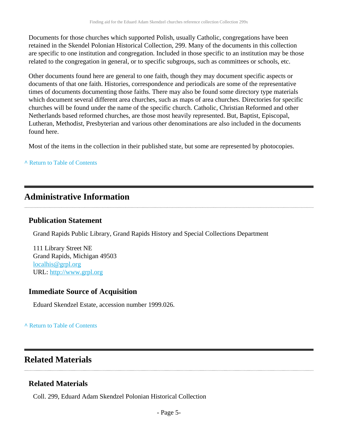Documents for those churches which supported Polish, usually Catholic, congregations have been retained in the Skendel Polonian Historical Collection, 299. Many of the documents in this collection are specific to one institution and congregation. Included in those specific to an institution may be those related to the congregation in general, or to specific subgroups, such as committees or schools, etc.

Other documents found here are general to one faith, though they may document specific aspects or documents of that one faith. Histories, correspondence and periodicals are some of the representative times of documents documenting those faiths. There may also be found some directory type materials which document several different area churches, such as maps of area churches. Directories for specific churches will be found under the name of the specific church. Catholic, Christian Reformed and other Netherlands based reformed churches, are those most heavily represented. But, Baptist, Episcopal, Lutheran, Methodist, Presbyterian and various other denominations are also included in the documents found here.

Most of the items in the collection in their published state, but some are represented by photocopies.

#### **^** [Return to Table of Contents](#page-1-0)

#### <span id="page-4-0"></span>**Administrative Information**

#### **Publication Statement**

Grand Rapids Public Library, Grand Rapids History and Special Collections Department

111 Library Street NE Grand Rapids, Michigan 49503 [localhis@grpl.org](mailto:localhis@grpl.org) URL:<http://www.grpl.org>

#### **Immediate Source of Acquisition**

Eduard Skendzel Estate, accession number 1999.026.

#### **^** [Return to Table of Contents](#page-1-0)

#### <span id="page-4-1"></span>**Related Materials**

#### **Related Materials**

Coll. 299, Eduard Adam Skendzel Polonian Historical Collection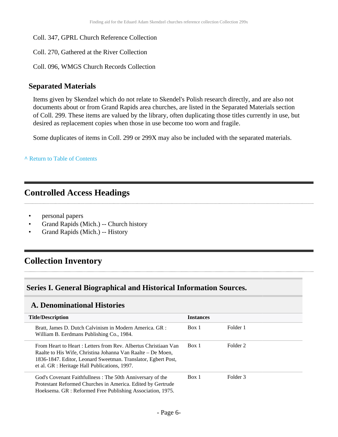- Coll. 347, GPRL Church Reference Collection
- Coll. 270, Gathered at the River Collection
- Coll. 096, WMGS Church Records Collection

#### **Separated Materials**

Items given by Skendzel which do not relate to Skendel's Polish research directly, and are also not documents about or from Grand Rapids area churches, are listed in the Separated Materials section of Coll. 299. These items are valued by the library, often duplicating those titles currently in use, but desired as replacement copies when those in use become too worn and fragile.

Some duplicates of items in Coll. 299 or 299X may also be included with the separated materials.

**^** [Return to Table of Contents](#page-1-0)

# <span id="page-5-0"></span>**Controlled Access Headings**

- personal papers
- Grand Rapids (Mich.) -- Church history
- Grand Rapids (Mich.) -- History

# <span id="page-5-1"></span>**Collection Inventory**

#### <span id="page-5-2"></span>**Series I. General Biographical and Historical Information Sources.**

#### <span id="page-5-3"></span>**A. Denominational Histories**

| <b>Title/Description</b>                                                                                                                                                                                                                         | <b>Instances</b> |          |
|--------------------------------------------------------------------------------------------------------------------------------------------------------------------------------------------------------------------------------------------------|------------------|----------|
| Bratt, James D. Dutch Calvinism in Modern America. GR :<br>William B. Eerdmans Publishing Co., 1984.                                                                                                                                             | Box 1            | Folder 1 |
| From Heart to Heart : Letters from Rev. Albertus Christiaan Van<br>Raalte to His Wife, Christina Johanna Van Raalte – De Moen,<br>1836-1847. Editor, Leonard Sweetman. Translator, Egbert Post,<br>et al. GR : Heritage Hall Publications, 1997. | Box 1            | Folder 2 |
| God's Covenant Faithfullness: The 50th Anniversary of the<br>Protestant Reformed Churches in America. Edited by Gertrude<br>Hoeksema. GR : Reformed Free Publishing Association, 1975.                                                           | Box 1            | Folder 3 |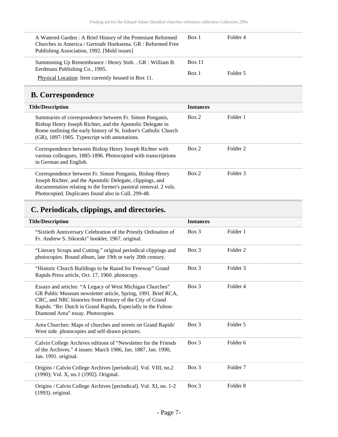| A Watered Garden : A Brief History of the Protestant Reformed<br>Churches in America / Gertrude Hoeksema, GR : Reformed Free<br>Publishing Association, 1992. [Mold issues] | Box 1         | Folder 4 |
|-----------------------------------------------------------------------------------------------------------------------------------------------------------------------------|---------------|----------|
| Summoning Up Remembrance / Henry Stob. . GR : William B.<br>Eerdmans Publishing Co., 1995.                                                                                  | <b>Box 11</b> |          |
| Physical Location: Item currently housed in Box 11.                                                                                                                         | Box 1         | Folder 5 |

# <span id="page-6-0"></span>**B. Correspondence**

| <b>Title/Description</b>                                                                                                                                                                                                                         | <b>Instances</b> |                     |
|--------------------------------------------------------------------------------------------------------------------------------------------------------------------------------------------------------------------------------------------------|------------------|---------------------|
| Summaries of correspondence between Fr. Simon Ponganis,<br>Bishop Henry Joseph Richter, and the Apostolic Delegate in<br>Rome outlining the early history of St. Isidore's Catholic Church<br>(GR), 1897-1905. Typescript with annotations.      | Box 2            | Folder 1            |
| Correspondence between Bishop Henry Joseph Richter with<br>various colleagues, 1885-1896. Photocopied with transcriptions<br>in German and English.                                                                                              | Box 2            | Folder <sub>2</sub> |
| Correspondence between Fr. Simon Ponganis, Bishop Henry<br>Joseph Richter, and the Apostolic Delegate, clippings, and<br>documentation relating to the former's pastoral removal. 2 vols.<br>Photocopied. Duplicates found also in Coll. 299-48. | Box 2            | Folder <sub>3</sub> |

# <span id="page-6-1"></span>**C. Periodicals, clippings, and directories.**

| <b>Title/Description</b>                                                                                                                                                                                                                                                                     | <b>Instances</b> |                     |  |
|----------------------------------------------------------------------------------------------------------------------------------------------------------------------------------------------------------------------------------------------------------------------------------------------|------------------|---------------------|--|
| "Sixtieth Anniversary Celebration of the Priestly Ordination of<br>Fr. Andrew S. Sikorski" booklet, 1967. original.                                                                                                                                                                          | $Box$ 3          | Folder 1            |  |
| "Literary Scraps and Cutting." original periodical clippings and<br>photocopies. Bound album, late 19th or early 20th century.                                                                                                                                                               | $Box$ 3          | Folder 2            |  |
| "Historic Church Buildings to be Razed for Freeway" Grand<br>Rapids Press article, Oct. 17, 1960. photocopy.                                                                                                                                                                                 | $Box$ 3          | Folder 3            |  |
| Essays and articles: "A Legacy of West Michigan Churches"<br>GR Public Museum newsletter article, Spring, 1991. Brief RCA,<br>CRC, and NRC histories from History of the City of Grand<br>Rapids. "Re: Dutch in Grand Rapids, Especially in the Fulton-<br>Diamond Area" essay. Photocopies. | $Box$ 3          | Folder 4            |  |
| Area Churches: Maps of churches and streets on Grand Rapids'<br>West side. photocopies and self-drawn pictures.                                                                                                                                                                              | $Box$ 3          | Folder 5            |  |
| Calvin College Archives editions of "Newsletter for the Friends"<br>of the Archives." 4 issues: March 1986, Jan. 1887, Jan. 1990,<br>Jan. 1991. original.                                                                                                                                    | $Box$ 3          | Folder 6            |  |
| Origins / Calvin College Archives [periodical]. Vol. VIII, no.2<br>(1990); Vol. X, no.1 (1992). Original.                                                                                                                                                                                    | $Box$ 3          | Folder <sub>7</sub> |  |
| Origins / Calvin College Archives [periodical]. Vol. XI, no. 1-2<br>(1993). original.                                                                                                                                                                                                        | $Box$ 3          | Folder <sub>8</sub> |  |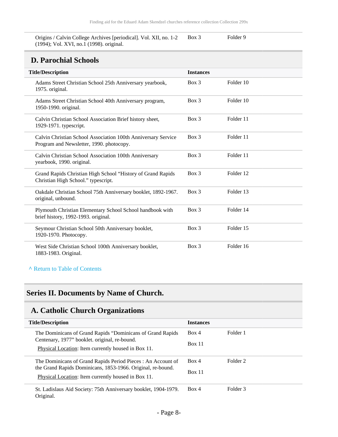Origins / Calvin College Archives [periodical]. Vol. XII, no. 1-2 (1994); Vol. XVI, no.1 (1998). original. Box 3 Folder 9

### **D. Parochial Schools**

<span id="page-7-0"></span>

| D. Farocinal Schools                                                                                      |                  |           |  |
|-----------------------------------------------------------------------------------------------------------|------------------|-----------|--|
| <b>Title/Description</b>                                                                                  | <b>Instances</b> |           |  |
| Adams Street Christian School 25th Anniversary yearbook,<br>1975. original.                               | $Box$ 3          | Folder 10 |  |
| Adams Street Christian School 40th Anniversary program,<br>1950-1990. original.                           | Box 3            | Folder 10 |  |
| Calvin Christian School Association Brief history sheet,<br>1929-1971. typescript.                        | $Box$ 3          | Folder 11 |  |
| Calvin Christian School Association 100th Anniversary Service<br>Program and Newsletter, 1990. photocopy. | Box 3            | Folder 11 |  |
| Calvin Christian School Association 100th Anniversary<br>yearbook, 1990. original.                        | $Box$ 3          | Folder 11 |  |
| Grand Rapids Christian High School "History of Grand Rapids"<br>Christian High School." typescript.       | $Box$ 3          | Folder 12 |  |
| Oakdale Christian School 75th Anniversary booklet, 1892-1967.<br>original, unbound.                       | Box 3            | Folder 13 |  |
| Plymouth Christian Elementary School School handbook with<br>brief history, 1992-1993. original.          | $Box$ 3          | Folder 14 |  |
| Seymour Christian School 50th Anniversary booklet,<br>1920-1970. Photocopy.                               | Box 3            | Folder 15 |  |
| West Side Christian School 100th Anniversary booklet,<br>1883-1983. Original.                             | $Box$ 3          | Folder 16 |  |

#### **^** [Return to Table of Contents](#page-1-0)

### <span id="page-7-1"></span>**Series II. Documents by Name of Church.**

### <span id="page-7-2"></span>**A. Catholic Church Organizations**

| <b>Title/Description</b>                                        | <b>Instances</b>                   |          |
|-----------------------------------------------------------------|------------------------------------|----------|
| The Dominicans of Grand Rapids "Dominicans of Grand Rapids"     | Folder 1<br>Box 4<br><b>Box 11</b> |          |
| Centenary, 1977" booklet. original, re-bound.                   |                                    |          |
| Physical Location: Item currently housed in Box 11.             |                                    |          |
| The Dominicans of Grand Rapids Period Pieces: An Account of     | Box 4                              | Folder 2 |
| the Grand Rapids Dominicans, 1853-1966. Original, re-bound.     | <b>Box 11</b>                      |          |
| Physical Location: Item currently housed in Box 11.             |                                    |          |
| St. Ladislaus Aid Society: 75th Anniversary booklet, 1904-1979. | Box 4                              | Folder 3 |
| Original.                                                       |                                    |          |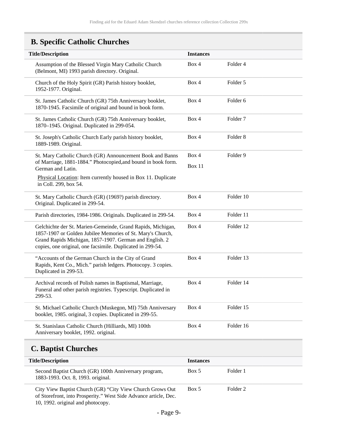# <span id="page-8-0"></span>**B. Specific Catholic Churches**

| <b>Title/Description</b>                                                                                                                                                                                                                           | <b>Instances</b> |                     |
|----------------------------------------------------------------------------------------------------------------------------------------------------------------------------------------------------------------------------------------------------|------------------|---------------------|
| Assumption of the Blessed Virgin Mary Catholic Church<br>(Belmont, MI) 1993 parish directory. Original.                                                                                                                                            | Box 4            | Folder 4            |
| Church of the Holy Spirit (GR) Parish history booklet,<br>1952-1977. Original.                                                                                                                                                                     | Box 4            | Folder 5            |
| St. James Catholic Church (GR) 75th Anniversary booklet,<br>1870-1945. Facsimile of original and bound in book form.                                                                                                                               | Box 4            | Folder 6            |
| St. James Catholic Church (GR) 75th Anniversary booklet,<br>1870–1945. Original. Duplicated in 299-054.                                                                                                                                            | Box 4            | Folder <sub>7</sub> |
| St. Joseph's Catholic Church Early parish history booklet,<br>1889-1989. Original.                                                                                                                                                                 | Box 4            | Folder <sub>8</sub> |
| St. Mary Catholic Church (GR) Announcement Book and Banns                                                                                                                                                                                          | Box 4            | Folder <sub>9</sub> |
| of Marriage, 1881-1884." Photocopied, and bound in book form.<br>German and Latin.                                                                                                                                                                 | Box 11           |                     |
| Physical Location: Item currently housed in Box 11. Duplicate<br>in Coll. 299, box 54.                                                                                                                                                             |                  |                     |
| St. Mary Catholic Church (GR) (1969?) parish directory.<br>Original. Duplicated in 299-54.                                                                                                                                                         | Box 4            | Folder 10           |
| Parish directories, 1984-1986. Originals. Duplicated in 299-54.                                                                                                                                                                                    | Box 4            | Folder 11           |
| Gelchichte der St. Marien-Gemeinde, Grand Rapids, Michigan,<br>1857-1907 or Golden Jubilee Memories of St. Mary's Church,<br>Grand Rapids Michigan, 1857-1907. German and English. 2<br>copies, one original, one facsimile. Duplicated in 299-54. | Box 4            | Folder 12           |
| "Accounts of the German Church in the City of Grand<br>Rapids, Kent Co., Mich." parish ledgers. Photocopy. 3 copies.<br>Duplicated in 299-53.                                                                                                      | Box 4            | Folder 13           |
| Archival records of Polish names in Baptismal, Marriage,<br>Funeral and other parish registries. Typescript. Duplicated in<br>299-53.                                                                                                              | Box 4            | Folder 14           |
| St. Michael Catholic Church (Muskegon, MI) 75th Anniversary<br>booklet, 1985. original, 3 copies. Duplicated in 299-55.                                                                                                                            | Box 4            | Folder 15           |
| St. Stanislaus Catholic Church (Hilliards, MI) 100th<br>Anniversary booklet, 1992. original.                                                                                                                                                       | Box 4            | Folder 16           |
| <b>C. Baptist Churches</b>                                                                                                                                                                                                                         |                  |                     |
| <b>Title/Description</b>                                                                                                                                                                                                                           | <b>Instances</b> |                     |
| Second Baptist Church (GR) 100th Anniversary program,<br>1883-1993. Oct. 8, 1993. original.                                                                                                                                                        | Box 5            | Folder 1            |
| City View Baptist Church (GR) "City View Church Grows Out                                                                                                                                                                                          | Box 5            | Folder <sub>2</sub> |

<span id="page-8-1"></span>of Storefront, into Prosperity." West Side Advance article, Dec. 10, 1992. original and photocopy.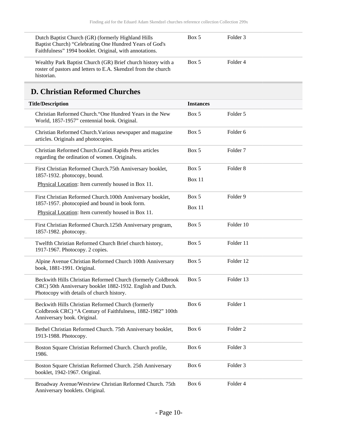| Dutch Baptist Church (GR) (formerly Highland Hills<br>Baptist Church) "Celebrating One Hundred Years of God's<br>Faithfulness" 1994 booklet. Original, with annotations. | Box 5 | Folder 3 |  |
|--------------------------------------------------------------------------------------------------------------------------------------------------------------------------|-------|----------|--|
| Wealthy Park Baptist Church (GR) Brief church history with a<br>roster of pastors and letters to E.A. Skendzel from the church<br>historian.                             | Box 5 | Folder 4 |  |

#### <span id="page-9-0"></span>**D. Christian Reformed Churches**

| <b>Title/Description</b>                                                                                                                                                 | <b>Instances</b> |                     |
|--------------------------------------------------------------------------------------------------------------------------------------------------------------------------|------------------|---------------------|
| Christian Reformed Church. "One Hundred Years in the New<br>World, 1857-1957" centennial book. Original.                                                                 | Box 5            | Folder 5            |
| Christian Reformed Church. Various newspaper and magazine<br>articles. Originals and photocopies.                                                                        | Box 5            | Folder <sub>6</sub> |
| Christian Reformed Church.Grand Rapids Press articles<br>regarding the ordination of women. Originals.                                                                   | Box 5            | Folder <sub>7</sub> |
| First Christian Reformed Church.75th Anniversary booklet,<br>1857-1932. photocopy, bound.                                                                                | Box 5            | Folder <sub>8</sub> |
| Physical Location: Item currently housed in Box 11.                                                                                                                      | Box 11           |                     |
| First Christian Reformed Church.100th Anniversary booklet,<br>1857-1957. photocopied and bound in book form.                                                             | Box 5            | Folder 9            |
| Physical Location: Item currently housed in Box 11.                                                                                                                      | Box 11           |                     |
| First Christian Reformed Church.125th Anniversary program,<br>1857-1982. photocopy.                                                                                      | Box 5            | Folder 10           |
| Twelfth Christian Reformed Church Brief church history,<br>1917-1967. Photocopy. 2 copies.                                                                               | Box 5            | Folder 11           |
| Alpine Avenue Christian Reformed Church 100th Anniversary<br>book, 1881-1991. Original.                                                                                  | Box 5            | Folder 12           |
| Beckwith Hills Christian Reformed Church (formerly Coldbrook<br>CRC) 50th Anniversary booklet 1882-1932. English and Dutch.<br>Photocopy with details of church history. | Box 5            | Folder 13           |
| Beckwith Hills Christian Reformed Church (formerly<br>Coldbrook CRC) "A Century of Faithfulness, 1882-1982" 100th<br>Anniversary book. Original.                         | Box 6            | Folder 1            |
| Bethel Christian Reformed Church. 75th Anniversary booklet,<br>1913-1988. Photocopy.                                                                                     | Box 6            | Folder <sub>2</sub> |
| Boston Square Christian Reformed Church. Church profile,<br>1986.                                                                                                        | Box 6            | Folder 3            |
| Boston Square Christian Reformed Church. 25th Anniversary<br>booklet, 1942-1967. Original.                                                                               | Box 6            | Folder 3            |
| Broadway Avenue/Westview Christian Reformed Church. 75th<br>Anniversary booklets. Original.                                                                              | Box 6            | Folder 4            |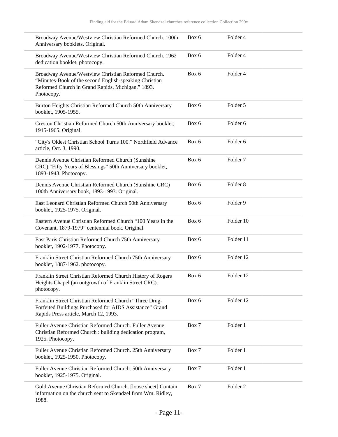| Broadway Avenue/Westview Christian Reformed Church. 100th<br>Anniversary booklets. Original.                                                                                     | Box 6 | Folder 4            |
|----------------------------------------------------------------------------------------------------------------------------------------------------------------------------------|-------|---------------------|
| Broadway Avenue/Westview Christian Reformed Church. 1962<br>dedication booklet, photocopy.                                                                                       | Box 6 | Folder 4            |
| Broadway Avenue/Westview Christian Reformed Church.<br>"Minutes-Book of the second English-speaking Christian<br>Reformed Church in Grand Rapids, Michigan." 1893.<br>Photocopy. | Box 6 | Folder 4            |
| Burton Heights Christian Reformed Church 50th Anniversary<br>booklet, 1905-1955.                                                                                                 | Box 6 | Folder 5            |
| Creston Christian Reformed Church 50th Anniversary booklet,<br>1915-1965. Original.                                                                                              | Box 6 | Folder <sub>6</sub> |
| "City's Oldest Christian School Turns 100." Northfield Advance<br>article, Oct. 3, 1990.                                                                                         | Box 6 | Folder <sub>6</sub> |
| Dennis Avenue Christian Reformed Church (Sunshine<br>CRC) "Fifty Years of Blessings" 50th Anniversary booklet,<br>1893-1943. Photocopy.                                          | Box 6 | Folder <sub>7</sub> |
| Dennis Avenue Christian Reformed Church (Sunshine CRC)<br>100th Anniversary book, 1893-1993. Original.                                                                           | Box 6 | Folder <sub>8</sub> |
| East Leonard Christian Reformed Church 50th Anniversary<br>booklet, 1925-1975. Original.                                                                                         | Box 6 | Folder 9            |
| Eastern Avenue Christian Reformed Church "100 Years in the<br>Covenant, 1879-1979" centennial book. Original.                                                                    | Box 6 | Folder 10           |
| East Paris Christian Reformed Church 75th Anniversary<br>booklet, 1902-1977. Photocopy.                                                                                          | Box 6 | Folder 11           |
| Franklin Street Christian Reformed Church 75th Anniversary<br>booklet, 1887-1962. photocopy.                                                                                     | Box 6 | Folder 12           |
| Franklin Street Christian Reformed Church History of Rogers<br>Heights Chapel (an outgrowth of Franklin Street CRC).<br>photocopy.                                               | Box 6 | Folder 12           |
| Franklin Street Christian Reformed Church "Three Drug-<br>Forfeited Buildings Purchased for AIDS Assistance" Grand<br>Rapids Press article, March 12, 1993.                      | Box 6 | Folder 12           |
| Fuller Avenue Christian Reformed Church. Fuller Avenue<br>Christian Reformed Church : building dedication program,<br>1925. Photocopy.                                           | Box 7 | Folder 1            |
| Fuller Avenue Christian Reformed Church. 25th Anniversary<br>booklet, 1925-1950. Photocopy.                                                                                      | Box 7 | Folder 1            |
| Fuller Avenue Christian Reformed Church. 50th Anniversary<br>booklet, 1925-1975. Original.                                                                                       | Box 7 | Folder 1            |
| Gold Avenue Christian Reformed Church. [loose sheet] Contain<br>information on the church sent to Skendzel from Wm. Ridley,<br>1988.                                             | Box 7 | Folder 2            |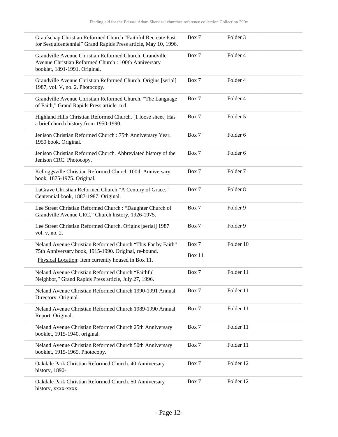| Graafschap Christian Reformed Church "Faithful Recreate Past<br>for Sesquicentennial" Grand Rapids Press article, May 10, 1996.                 | Box 7           | Folder <sub>3</sub> |  |
|-------------------------------------------------------------------------------------------------------------------------------------------------|-----------------|---------------------|--|
| Grandville Avenue Christian Reformed Church. Grandville<br>Avenue Christian Reformed Church: 100th Anniversary<br>booklet, 1891-1991. Original. | Box 7           | Folder 4            |  |
| Grandville Avenue Christian Reformed Church. Origins [serial]<br>1987, vol. V, no. 2. Photocopy.                                                | Box 7           | Folder 4            |  |
| Grandville Avenue Christian Reformed Church. "The Language<br>of Faith," Grand Rapids Press article. n.d.                                       | Box 7           | Folder 4            |  |
| Highland Hills Christian Reformed Church. [1 loose sheet] Has<br>a brief church history from 1950-1990.                                         | Box 7           | Folder 5            |  |
| Jenison Christian Reformed Church : 75th Anniversary Year,<br>1950 book. Original.                                                              | Box 7           | Folder 6            |  |
| Jenison Christian Reformed Church. Abbreviated history of the<br>Jenison CRC. Photocopy.                                                        | Box 7           | Folder <sub>6</sub> |  |
| Kelloggsville Christian Reformed Church 100th Anniversary<br>book, 1875-1975. Original.                                                         | Box 7           | Folder <sub>7</sub> |  |
| LaGrave Christian Reformed Church "A Century of Grace."<br>Centennial book, 1887-1987. Original.                                                | Box 7           | Folder <sub>8</sub> |  |
| Lee Street Christian Reformed Church : "Daughter Church of<br>Grandville Avenue CRC." Church history, 1926-1975.                                | Box 7           | Folder 9            |  |
| Lee Street Christian Reformed Church. Origins [serial] 1987<br>vol. v, no. 2.                                                                   | Box 7           | Folder 9            |  |
| Neland Avenue Christian Reformed Church "This Far by Faith"<br>75th Anniversary book, 1915-1990. Original, re-bound.                            | Box 7<br>Box 11 | Folder 10           |  |
| Physical Location: Item currently housed in Box 11.                                                                                             |                 |                     |  |
| Neland Avenue Christian Reformed Church "Faithful<br>Neighbor," Grand Rapids Press article, July 27, 1996.                                      | Box 7           | Folder 11           |  |
| Neland Avenue Christian Reformed Church 1990-1991 Annual<br>Directory. Original.                                                                | Box 7           | Folder 11           |  |
| Neland Avenue Christian Reformed Church 1989-1990 Annual<br>Report. Original.                                                                   | Box 7           | Folder 11           |  |
| Neland Avenue Christian Reformed Church 25th Anniversary<br>booklet, 1915-1940. original.                                                       | Box 7           | Folder 11           |  |
| Neland Avenue Christian Reformed Church 50th Anniversary<br>booklet, 1915-1965. Photocopy.                                                      | Box 7           | Folder 11           |  |
| Oakdale Park Christian Reformed Church. 40 Anniversary<br>history, 1890-                                                                        | Box 7           | Folder 12           |  |
| Oakdale Park Christian Reformed Church. 50 Anniversary<br>history, xxxx-xxxx                                                                    | Box 7           | Folder 12           |  |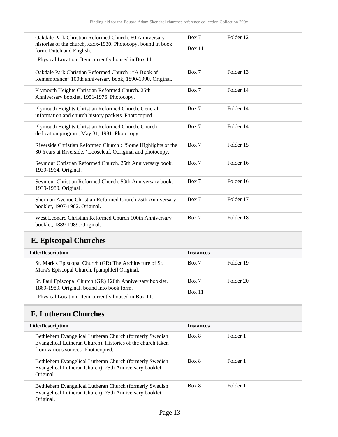| Oakdale Park Christian Reformed Church. 60 Anniversary<br>histories of the church, xxxx-1930. Photocopy, bound in book       | Box 7  | Folder 12 |
|------------------------------------------------------------------------------------------------------------------------------|--------|-----------|
| form. Dutch and English.                                                                                                     | Box 11 |           |
| Physical Location: Item currently housed in Box 11.                                                                          |        |           |
| Oakdale Park Christian Reformed Church: "A Book of<br>Remembrance" 100th anniversary book, 1890-1990. Original.              | Box 7  | Folder 13 |
| Plymouth Heights Christian Reformed Church. 25th<br>Anniversary booklet, 1951-1976. Photocopy.                               | Box 7  | Folder 14 |
| Plymouth Heights Christian Reformed Church. General<br>information and church history packets. Photocopied.                  | Box 7  | Folder 14 |
| Plymouth Heights Christian Reformed Church. Church<br>dedication program, May 31, 1981. Photocopy.                           | Box 7  | Folder 14 |
| Riverside Christian Reformed Church : "Some Highlights of the<br>30 Years at Riverside." Looseleaf. Ooriginal and photocopy. | Box 7  | Folder 15 |
| Seymour Christian Reformed Church. 25th Anniversary book,<br>1939-1964. Original.                                            | Box 7  | Folder 16 |
| Seymour Christian Reformed Church. 50th Anniversary book,<br>1939-1989. Original.                                            | Box 7  | Folder 16 |
| Sherman Avenue Christian Reformed Church 75th Anniversary<br>booklet, 1907-1982. Original.                                   | Box 7  | Folder 17 |
| West Leonard Christian Reformed Church 100th Anniversary<br>booklet, 1889-1989. Original.                                    | Box 7  | Folder 18 |

# <span id="page-12-0"></span>**E. Episcopal Churches**

| <b>Title/Description</b>                                                                                  | <b>Instances</b> |           |
|-----------------------------------------------------------------------------------------------------------|------------------|-----------|
| St. Mark's Episcopal Church (GR) The Architecture of St.<br>Mark's Episcopal Church. [pamphlet] Original. | Box 7            | Folder 19 |
| St. Paul Episcopal Church (GR) 120th Anniversary booklet,<br>1869-1989. Original, bound into book form.   | Box 7            | Folder 20 |
| Physical Location: Item currently housed in Box 11.                                                       | <b>Box 11</b>    |           |

# <span id="page-12-1"></span>**F. Lutheran Churches**

| <b>Title/Description</b>                                                                                                                                      | <b>Instances</b> |          |  |
|---------------------------------------------------------------------------------------------------------------------------------------------------------------|------------------|----------|--|
| Bethlehem Evangelical Lutheran Church (formerly Swedish)<br>Evangelical Lutheran Church). Histories of the church taken<br>from various sources. Photocopied. | Box 8            | Folder 1 |  |
| Bethlehem Evangelical Lutheran Church (formerly Swedish<br>Evangelical Lutheran Church). 25th Anniversary booklet.<br>Original.                               | Box 8            | Folder 1 |  |
| Bethlehem Evangelical Lutheran Church (formerly Swedish)<br>Evangelical Lutheran Church). 75th Anniversary booklet.<br>Original.                              | Box 8            | Folder 1 |  |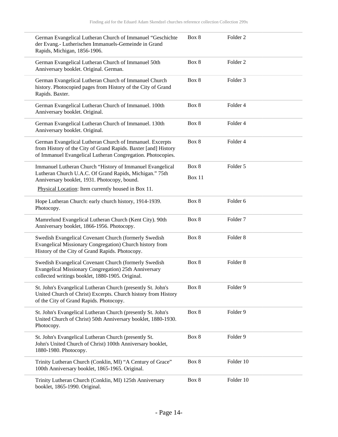| German Evangelical Lutheran Church of Immanuel "Geschichte<br>der Evang.- Lutherischen Immanuels-Gemeinde in Grand<br>Rapids, Michigan, 1856-1906.                                        | Box 8                  | Folder <sub>2</sub> |
|-------------------------------------------------------------------------------------------------------------------------------------------------------------------------------------------|------------------------|---------------------|
| German Evangelical Lutheran Church of Immanuel 50th<br>Anniversary booklet. Original. German.                                                                                             | Box 8                  | Folder <sub>2</sub> |
| German Evangelical Lutheran Church of Immanuel Church<br>history. Photocopied pages from History of the City of Grand<br>Rapids. Baxter.                                                  | Box 8                  | Folder <sub>3</sub> |
| German Evangelical Lutheran Church of Immanuel. 100th<br>Anniversary booklet. Original.                                                                                                   | Box 8                  | Folder 4            |
| German Evangelical Lutheran Church of Immanuel. 130th<br>Anniversary booklet. Original.                                                                                                   | Box 8                  | Folder 4            |
| German Evangelical Lutheran Church of Immanuel. Excerpts<br>from History of the City of Grand Rapids. Baxter [and] History<br>of Immanuel Evangelical Lutheran Congregation. Photocopies. | Box 8                  | Folder 4            |
| Immanuel Lutheran Church "History of Immanuel Evangelical<br>Lutheran Church U.A.C. Of Grand Rapids, Michigan." 75th<br>Anniversary booklet, 1931. Photocopy, bound.                      | Box 8<br><b>Box 11</b> | Folder 5            |
| Physical Location: Item currently housed in Box 11.                                                                                                                                       |                        |                     |
| Hope Lutheran Church: early church history, 1914-1939.<br>Photocopy.                                                                                                                      | Box 8                  | Folder 6            |
| Mamrelund Evangelical Lutheran Church (Kent City). 90th<br>Anniversary booklet, 1866-1956. Photocopy.                                                                                     | Box 8                  | Folder <sub>7</sub> |
| Swedish Evangelical Covenant Church (formerly Swedish<br>Evangelical Missionary Congregation) Church history from<br>History of the City of Grand Rapids. Photocopy.                      | Box 8                  | Folder <sub>8</sub> |
| Swedish Evangelical Covenant Church (formerly Swedish<br>Evangelical Missionary Congregation) 25th Anniversary<br>collected writings booklet, 1880-1905. Original.                        | Box 8                  | Folder <sub>8</sub> |
| St. John's Evangelical Lutheran Church (presently St. John's<br>United Church of Christ) Excerpts. Church history from History<br>of the City of Grand Rapids. Photocopy.                 | Box 8                  | Folder 9            |
| St. John's Evangelical Lutheran Church (presently St. John's<br>United Church of Christ) 50th Anniversary booklet, 1880-1930.<br>Photocopy.                                               | Box 8                  | Folder 9            |
| St. John's Evangelical Lutheran Church (presently St.<br>John's United Church of Christ) 100th Anniversary booklet,<br>1880-1980. Photocopy.                                              | Box 8                  | Folder 9            |
| Trinity Lutheran Church (Conklin, MI) "A Century of Grace"<br>100th Anniversary booklet, 1865-1965. Original.                                                                             | Box 8                  | Folder 10           |
| Trinity Lutheran Church (Conklin, MI) 125th Anniversary<br>booklet, 1865-1990. Original.                                                                                                  | Box 8                  | Folder 10           |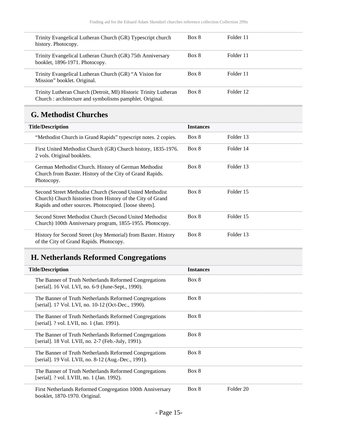| Trinity Evangelical Lutheran Church (GR) Typescript church<br>history. Photocopy.                                           | Box 8 | Folder 11 |
|-----------------------------------------------------------------------------------------------------------------------------|-------|-----------|
| Trinity Evangelical Lutheran Church (GR) 75th Anniversary<br>booklet, 1896-1971. Photocopy.                                 | Box 8 | Folder 11 |
| Trinity Evangelical Lutheran Church (GR) "A Vision for<br>Mission" booklet. Original.                                       | Box 8 | Folder 11 |
| Trinity Lutheran Church (Detroit, MI) Historic Trinity Lutheran<br>Church : architecture and symbolisms pamphlet. Original. | Box 8 | Folder 12 |

# <span id="page-14-0"></span>**G. Methodist Churches**

| <b>Title/Description</b>                                                                                                                                                         | <b>Instances</b> |           |
|----------------------------------------------------------------------------------------------------------------------------------------------------------------------------------|------------------|-----------|
| "Methodist Church in Grand Rapids" typescript notes. 2 copies.                                                                                                                   | Box 8            | Folder 13 |
| First United Methodist Church (GR) Church history, 1835-1976.<br>2 vols. Original booklets.                                                                                      | Box 8            | Folder 14 |
| German Methodist Church. History of German Methodist<br>Church from Baxter. History of the City of Grand Rapids.<br>Photocopy.                                                   | Box 8            | Folder 13 |
| Second Street Methodist Church (Second United Methodist)<br>Church) Church histories from History of the City of Grand<br>Rapids and other sources. Photocopied. [loose sheets]. | Box 8            | Folder 15 |
| Second Street Methodist Church (Second United Methodist<br>Church) 100th Anniversary program, 1855-1955. Photocopy.                                                              | Box 8            | Folder 15 |
| History for Second Street (Joy Memorial) from Baxter. History<br>of the City of Grand Rapids. Photocopy.                                                                         | Box 8            | Folder 13 |

# <span id="page-14-1"></span>**H. Netherlands Reformed Congregations**

| <b>Title/Description</b>                                                                                      | <b>Instances</b> |           |
|---------------------------------------------------------------------------------------------------------------|------------------|-----------|
| The Banner of Truth Netherlands Reformed Congregations<br>[serial]. 16 Vol. LVI, no. 6-9 (June-Sept., 1990).  | Box 8            |           |
| The Banner of Truth Netherlands Reformed Congregations<br>[serial]. 17 Vol. LVI, no. 10-12 (Oct-Dec., 1990).  | Box 8            |           |
| The Banner of Truth Netherlands Reformed Congregations<br>[serial]. ? vol. LVII, no. 1 (Jan. 1991).           | Box 8            |           |
| The Banner of Truth Netherlands Reformed Congregations<br>[serial]. 18 Vol. LVII, no. 2-7 (Feb.-July, 1991).  | Box 8            |           |
| The Banner of Truth Netherlands Reformed Congregations<br>[serial]. 19 Vol. LVII, no. 8-12 (Aug.-Dec., 1991). | Box 8            |           |
| The Banner of Truth Netherlands Reformed Congregations<br>[serial]. ? vol. LVIII, no. 1 (Jan. 1992).          | Box 8            |           |
| First Netherlands Reformed Congregation 100th Anniversary<br>booklet, 1870-1970. Original.                    | Box 8            | Folder 20 |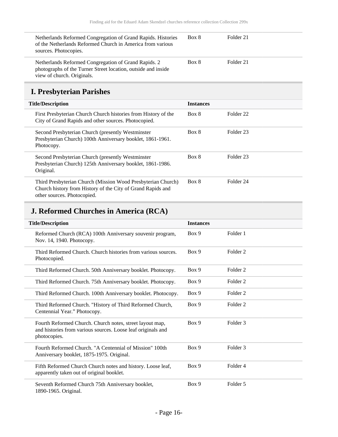| Netherlands Reformed Congregation of Grand Rapids. Histories<br>of the Netherlands Reformed Church in America from various<br>sources. Photocopies. | Box 8 | Folder 21 |
|-----------------------------------------------------------------------------------------------------------------------------------------------------|-------|-----------|
| Netherlands Reformed Congregation of Grand Rapids. 2<br>photographs of the Turner Street location, outside and inside<br>view of church. Originals. | Box 8 | Folder 21 |

# <span id="page-15-0"></span>**I. Presbyterian Parishes**

| <b>Title/Description</b>                                                                                                                                   | <b>Instances</b> |           |
|------------------------------------------------------------------------------------------------------------------------------------------------------------|------------------|-----------|
| First Presbyterian Church Church histories from History of the<br>City of Grand Rapids and other sources. Photocopied.                                     | Box 8            | Folder 22 |
| Second Presbyterian Church (presently Westminster)<br>Presbyterian Church) 100th Anniversary booklet, 1861-1961.<br>Photocopy.                             | Box 8            | Folder 23 |
| Second Presbyterian Church (presently Westminster)<br>Presbyterian Church) 125th Anniversary booklet, 1861-1986.<br>Original.                              | Box 8            | Folder 23 |
| Third Presbyterian Church (Mission Wood Presbyterian Church)<br>Church history from History of the City of Grand Rapids and<br>other sources. Photocopied. | Box 8            | Folder 24 |

# <span id="page-15-1"></span>**J. Reformed Churches in America (RCA)**

| <b>Title/Description</b>                                                                                                                 | <b>Instances</b> |                     |
|------------------------------------------------------------------------------------------------------------------------------------------|------------------|---------------------|
| Reformed Church (RCA) 100th Anniversary souvenir program,<br>Nov. 14, 1940. Photocopy.                                                   | Box 9            | Folder 1            |
| Third Reformed Church, Church histories from various sources.<br>Photocopied.                                                            | Box 9            | Folder <sub>2</sub> |
| Third Reformed Church. 50th Anniversary booklet. Photocopy.                                                                              | Box 9            | Folder <sub>2</sub> |
| Third Reformed Church. 75th Anniversary booklet. Photocopy.                                                                              | Box 9            | Folder <sub>2</sub> |
| Third Reformed Church. 100th Anniversary booklet. Photocopy.                                                                             | Box 9            | Folder <sub>2</sub> |
| Third Reformed Church. "History of Third Reformed Church,<br>Centennial Year." Photocopy.                                                | Box 9            | Folder <sub>2</sub> |
| Fourth Reformed Church. Church notes, street layout map,<br>and histories from various sources. Loose leaf originals and<br>photocopies. | Box 9            | Folder 3            |
| Fourth Reformed Church. "A Centennial of Mission" 100th<br>Anniversary booklet, 1875-1975. Original.                                     | Box 9            | Folder 3            |
| Fifth Reformed Church Church notes and history. Loose leaf,<br>apparently taken out of original booklet.                                 | Box 9            | Folder 4            |
| Seventh Reformed Church 75th Anniversary booklet,<br>1890-1965. Original.                                                                | Box 9            | Folder 5            |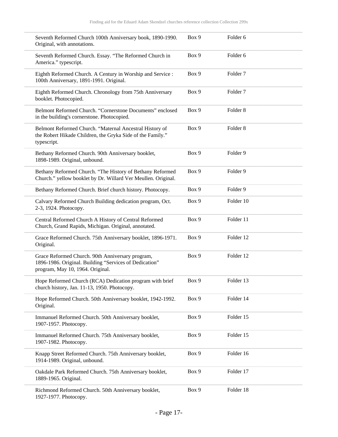| Seventh Reformed Church 100th Anniversary book, 1890-1990.<br>Original, with annotations.                                                      | Box 9 | Folder <sub>6</sub> |  |
|------------------------------------------------------------------------------------------------------------------------------------------------|-------|---------------------|--|
| Seventh Reformed Church. Essay. "The Reformed Church in<br>America." typescript.                                                               | Box 9 | Folder <sub>6</sub> |  |
| Eighth Reformed Church. A Century in Worship and Service :<br>100th Anniversary, 1891-1991. Original.                                          | Box 9 | Folder <sub>7</sub> |  |
| Eighth Reformed Church. Chronology from 75th Anniversary<br>booklet. Photocopied.                                                              | Box 9 | Folder <sub>7</sub> |  |
| Belmont Reformed Church. "Cornerstone Documents" enclosed<br>in the building's cornerstone. Photocopied.                                       | Box 9 | Folder <sub>8</sub> |  |
| Belmont Reformed Church. "Maternal Ancestral History of<br>the Robert Hikade Children, the Gryka Side of the Family."<br>typescript.           | Box 9 | Folder <sub>8</sub> |  |
| Bethany Reformed Church. 90th Anniversary booklet,<br>1898-1989. Original, unbound.                                                            | Box 9 | Folder <sub>9</sub> |  |
| Bethany Reformed Church. "The History of Bethany Reformed<br>Church." yellow booklet by Dr. Willard Ver Meullen. Original.                     | Box 9 | Folder 9            |  |
| Bethany Reformed Church. Brief church history. Photocopy.                                                                                      | Box 9 | Folder 9            |  |
| Calvary Reformed Church Building dedication program, Oct.<br>2-3, 1924. Photocopy.                                                             | Box 9 | Folder 10           |  |
| Central Reformed Church A History of Central Reformed<br>Church, Grand Rapids, Michigan. Original, annotated.                                  | Box 9 | Folder 11           |  |
| Grace Reformed Church. 75th Anniversary booklet, 1896-1971.<br>Original.                                                                       | Box 9 | Folder 12           |  |
| Grace Reformed Church. 90th Anniversary program,<br>1896-1986. Original. Building "Services of Dedication"<br>program, May 10, 1964. Original. | Box 9 | Folder 12           |  |
| Hope Reformed Church (RCA) Dedication program with brief<br>church history, Jan. 11-13, 1950. Photocopy.                                       | Box 9 | Folder 13           |  |
| Hope Reformed Church. 50th Anniversary booklet, 1942-1992.<br>Original.                                                                        | Box 9 | Folder 14           |  |
| Immanuel Reformed Church. 50th Anniversary booklet,<br>1907-1957. Photocopy.                                                                   | Box 9 | Folder 15           |  |
| Immanuel Reformed Church. 75th Anniversary booklet,<br>1907-1982. Photocopy.                                                                   | Box 9 | Folder 15           |  |
| Knapp Street Reformed Church. 75th Anniversary booklet,<br>1914-1989. Original, unbound.                                                       | Box 9 | Folder 16           |  |
| Oakdale Park Reformed Church. 75th Anniversary booklet,<br>1889-1965. Original.                                                                | Box 9 | Folder 17           |  |
| Richmond Reformed Church. 50th Anniversary booklet,<br>1927-1977. Photocopy.                                                                   | Box 9 | Folder 18           |  |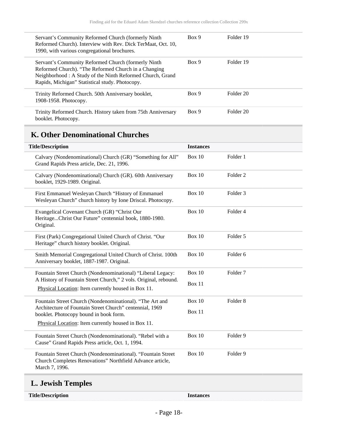| Servant's Community Reformed Church (formerly Ninth<br>Reformed Church). Interview with Rev. Dick TerMaat, Oct. 10,<br>1990, with various congregational brochures.                                                          | Box 9 | Folder 19 |
|------------------------------------------------------------------------------------------------------------------------------------------------------------------------------------------------------------------------------|-------|-----------|
| Servant's Community Reformed Church (formerly Ninth)<br>Reformed Church). "The Reformed Church in a Changing<br>Neighborhood: A Study of the Ninth Reformed Church, Grand<br>Rapids, Michigan" Statistical study. Photocopy. | Box 9 | Folder 19 |
| Trinity Reformed Church. 50th Anniversary booklet,<br>1908-1958. Photocopy.                                                                                                                                                  | Box 9 | Folder 20 |
| Trinity Reformed Church. History taken from 75th Anniversary<br>booklet. Photocopy.                                                                                                                                          | Box 9 | Folder 20 |

# <span id="page-17-0"></span>**K. Other Denominational Churches**

| <b>Title/Description</b>                                                                                                                    | <b>Instances</b>        |                     |
|---------------------------------------------------------------------------------------------------------------------------------------------|-------------------------|---------------------|
| Calvary (Nondenominational) Church (GR) "Something for All"<br>Grand Rapids Press article, Dec. 21, 1996.                                   | <b>Box 10</b>           | Folder 1            |
| Calvary (Nondenominational) Church (GR). 60th Anniversary<br>booklet, 1929-1989. Original.                                                  | Box 10                  | Folder <sub>2</sub> |
| First Emmanuel Wesleyan Church "History of Emmanuel<br>Wesleyan Church" church history by Ione Driscal. Photocopy.                          | <b>Box 10</b>           | Folder <sub>3</sub> |
| Evangelical Covenant Church (GR) "Christ Our<br>HeritageChrist Our Future" centennial book, 1880-1980.<br>Original.                         | <b>Box 10</b>           | Folder 4            |
| First (Park) Congregational United Church of Christ. "Our<br>Heritage" church history booklet. Original.                                    | <b>Box 10</b>           | Folder 5            |
| Smith Memorial Congregational United Church of Christ. 100th<br>Anniversary booklet, 1887-1987. Original.                                   | <b>Box 10</b>           | Folder <sub>6</sub> |
| Fountain Street Church (Nondenominational) "Liberal Legacy:                                                                                 | <b>Box 10</b><br>Box 11 | Folder <sub>7</sub> |
| A History of Fountain Street Church," 2 vols. Original, rebound.<br>Physical Location: Item currently housed in Box 11.                     |                         |                     |
| Fountain Street Church (Nondenominational). "The Art and                                                                                    | Box 10                  | Folder <sub>8</sub> |
| Architecture of Fountain Street Church" centennial, 1969<br>booklet. Photocopy bound in book form.                                          | Box 11                  |                     |
| Physical Location: Item currently housed in Box 11.                                                                                         |                         |                     |
| Fountain Street Church (Nondenominational). "Rebel with a<br>Cause" Grand Rapids Press article, Oct. 1, 1994.                               | <b>Box 10</b>           | Folder 9            |
| Fountain Street Church (Nondenominational). "Fountain Street<br>Church Completes Renovations" Northfield Advance article,<br>March 7, 1996. | <b>Box 10</b>           | Folder 9            |
|                                                                                                                                             |                         |                     |

#### <span id="page-17-1"></span>**L. Jewish Temples**

| <b>Title/Description</b> |
|--------------------------|
|--------------------------|

Instances